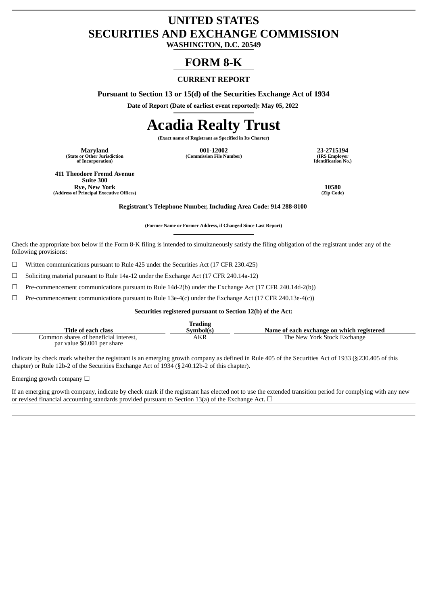## **UNITED STATES SECURITIES AND EXCHANGE COMMISSION**

**WASHINGTON, D.C. 20549**

### **FORM 8-K**

#### **CURRENT REPORT**

**Pursuant to Section 13 or 15(d) of the Securities Exchange Act of 1934**

**Date of Report (Date of earliest event reported): May 05, 2022**

# **Acadia Realty Trust**

**(Exact name of Registrant as Specified in Its Charter)**

**(State or Other Jurisdiction of Incorporation)**

**Maryland 001-12002 23-2715194 (Commission File Number) (IRS Employer**

**Identification No.)**

**411 Theodore Fremd Avenue Suite 300 Rye, New York 10580 (Address of Principal Executive Offices)** 

**Registrant's Telephone Number, Including Area Code: 914 288-8100**

**(Former Name or Former Address, if Changed Since Last Report)**

Check the appropriate box below if the Form 8-K filing is intended to simultaneously satisfy the filing obligation of the registrant under any of the following provisions:

☐ Written communications pursuant to Rule 425 under the Securities Act (17 CFR 230.425)

☐ Soliciting material pursuant to Rule 14a-12 under the Exchange Act (17 CFR 240.14a-12)

☐ Pre-commencement communications pursuant to Rule 14d-2(b) under the Exchange Act (17 CFR 240.14d-2(b))

 $\Box$  Pre-commencement communications pursuant to Rule 13e-4(c) under the Exchange Act (17 CFR 240.13e-4(c))

#### **Securities registered pursuant to Section 12(b) of the Act:**

|                                       | Trading   |                                           |
|---------------------------------------|-----------|-------------------------------------------|
| Title of each class                   | Sumbol(s) | Name of each exchange on which registered |
| Common shares of beneficial interest. | AKR       | The New York Stock Exchange               |
| par value \$0.001 per share           |           |                                           |

Indicate by check mark whether the registrant is an emerging growth company as defined in Rule 405 of the Securities Act of 1933 (§230.405 of this chapter) or Rule 12b-2 of the Securities Exchange Act of 1934 (§240.12b-2 of this chapter).

Emerging growth company  $\Box$ 

If an emerging growth company, indicate by check mark if the registrant has elected not to use the extended transition period for complying with any new or revised financial accounting standards provided pursuant to Section 13(a) of the Exchange Act.  $\Box$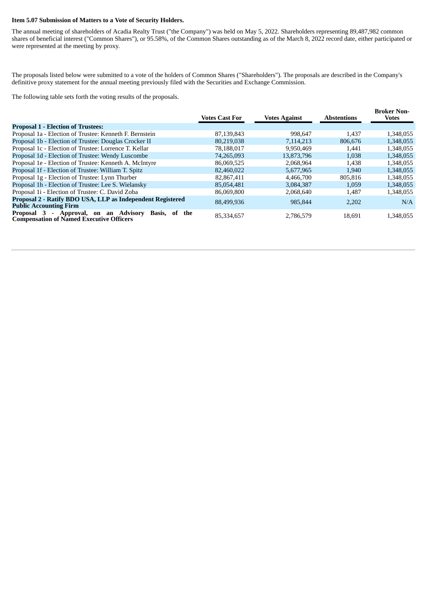#### **Item 5.07 Submission of Matters to a Vote of Security Holders.**

The annual meeting of shareholders of Acadia Realty Trust ("the Company") was held on May 5, 2022. Shareholders representing 89,487,982 common shares of beneficial interest ("Common Shares"), or 95.58%, of the Common Shares outstanding as of the March 8, 2022 record date, either participated or were represented at the meeting by proxy.

The proposals listed below were submitted to a vote of the holders of Common Shares ("Shareholders"). The proposals are described in the Company's definitive proxy statement for the annual meeting previously filed with the Securities and Exchange Commission.

The following table sets forth the voting results of the proposals.

|                                                                                                                 | <b>Votes Cast For</b> | <b>Votes Against</b> | <b>Abstentions</b> | <b>Broker Non-</b><br><b>Votes</b> |
|-----------------------------------------------------------------------------------------------------------------|-----------------------|----------------------|--------------------|------------------------------------|
| <b>Proposal 1 - Election of Trustees:</b>                                                                       |                       |                      |                    |                                    |
| Proposal 1a - Election of Trustee: Kenneth F. Bernstein                                                         | 87,139,843            | 998.647              | 1.437              | 1,348,055                          |
| Proposal 1b - Election of Trustee: Douglas Crocker II                                                           | 80,219,038            | 7,114,213            | 806,676            | 1,348,055                          |
| Proposal 1c - Election of Trustee: Lorrence T. Kellar                                                           | 78,188,017            | 9,950,469            | 1.441              | 1,348,055                          |
| Proposal 1d - Election of Trustee: Wendy Luscombe                                                               | 74,265,093            | 13,873,796           | 1,038              | 1,348,055                          |
| Proposal 1e - Election of Trustee: Kenneth A. McIntyre                                                          | 86,069,525            | 2,068,964            | 1.438              | 1,348,055                          |
| Proposal 1f - Election of Trustee: William T. Spitz                                                             | 82,460,022            | 5,677,965            | 1,940              | 1,348,055                          |
| Proposal 1g - Election of Trustee: Lynn Thurber                                                                 | 82,867,411            | 4,466,700            | 805,816            | 1,348,055                          |
| Proposal 1h - Election of Trustee: Lee S. Wielansky                                                             | 85,054,481            | 3,084,387            | 1,059              | 1,348,055                          |
| Proposal 1i - Election of Trustee: C. David Zoba                                                                | 86,069,800            | 2,068,640            | 1,487              | 1,348,055                          |
| Proposal 2 - Ratify BDO USA, LLP as Independent Registered<br><b>Public Accounting Firm</b>                     | 88,499,936            | 985,844              | 2,202              | N/A                                |
| Proposal 3<br>- Approval, on an Advisory<br>Basis, of<br>the<br><b>Compensation of Named Executive Officers</b> | 85,334,657            | 2,786,579            | 18.691             | 1,348,055                          |